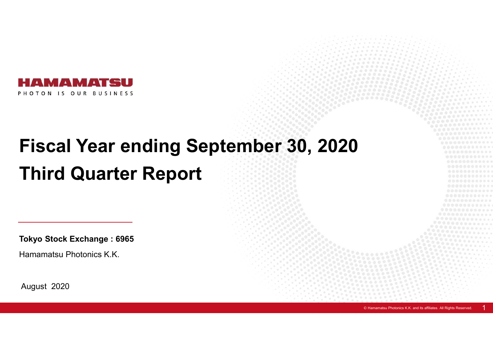

# **Fiscal Year ending September 30, 2020 Third Quarter Report**

**Tokyo Stock Exchange : 6965**

Hamamatsu Photonics K.K.

August 2020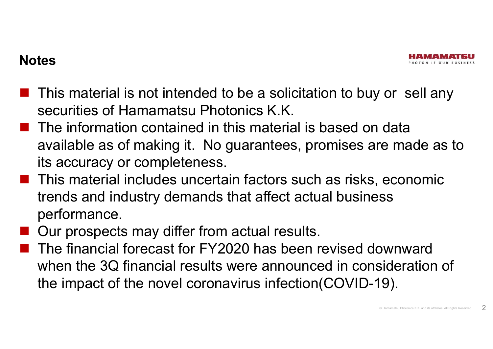- $\blacksquare$  This material is not intended to be a solicitation to buy or sell any securities of Hamamatsu Photonics K.K.
- $\blacksquare$  The information contained in this material is based on data available as of making it. No guarantees, promises are made as to its accuracy or completeness.
- **This material includes uncertain factors such as risks, economic** trends and industry demands that affect actual business performance.
- Our prospects may differ from actual results.
- The financial forecast for FY2020 has been revised downward when the 3Q financial results were announced in consideration of the impact of the novel coronavirus infection(COVID-19).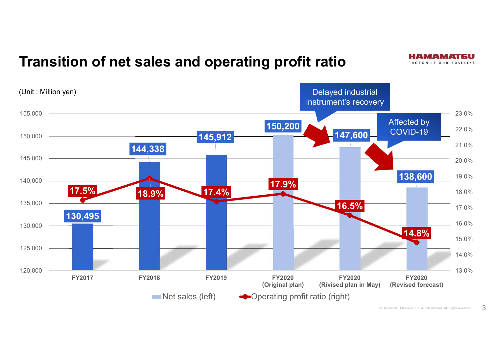## **Transition of net sales and operating profit ratio**



#### $\circ$  Hamamatsu Photonics K.K. and its affiliates. All Rights Reserved.  $\circ$  3

PHOTON IS OUR BUSINESS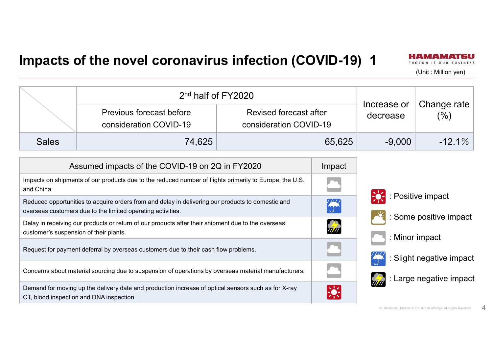#### **Impacts of the novel coronavirus infection (COVID-19) 1**



(Unit : Million yen)

|              | 2 <sup>nd</sup> half of FY2020                     |                                                  |                         |                        |
|--------------|----------------------------------------------------|--------------------------------------------------|-------------------------|------------------------|
|              | Previous forecast before<br>consideration COVID-19 | Revised forecast after<br>consideration COVID-19 | Increase or<br>decrease | Change rate $ $<br>(%) |
| <b>Sales</b> | 74,625                                             | 65,625                                           | $-9.000$                | $-12.1\%$              |

| Assumed impacts of the COVID-19 on 2Q in FY2020                                                                                                                  | Impact         |
|------------------------------------------------------------------------------------------------------------------------------------------------------------------|----------------|
| Impacts on shipments of our products due to the reduced number of flights primarily to Europe, the U.S.<br>and China.                                            |                |
| Reduced opportunities to acquire orders from and delay in delivering our products to domestic and<br>overseas customers due to the limited operating activities. | $\frac{77}{3}$ |
| Delay in receiving our products or return of our products after their shipment due to the overseas<br>customer's suspension of their plants.                     | <b>ATT</b>     |
| Request for payment deferral by overseas customers due to their cash flow problems.                                                                              |                |
| Concerns about material sourcing due to suspension of operations by overseas material manufacturers.                                                             |                |
| Demand for moving up the delivery date and production increase of optical sensors such as for X-ray<br>CT, blood inspection and DNA inspection.                  | $\frac{1}{2}$  |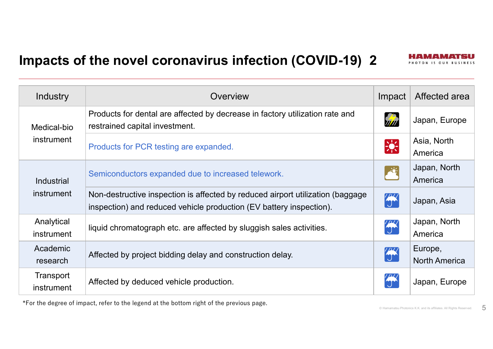### **Impacts of the novel coronavirus infection (COVID-19) 2**



| Industry                 | Overview                                                                                                                                              | Impact        | Affected area                   |
|--------------------------|-------------------------------------------------------------------------------------------------------------------------------------------------------|---------------|---------------------------------|
| Medical-bio              | Products for dental are affected by decrease in factory utilization rate and<br>restrained capital investment.                                        | Film          | Japan, Europe                   |
| instrument               | Products for PCR testing are expanded.                                                                                                                | $\frac{1}{2}$ | Asia, North<br>America          |
| <b>Industrial</b>        | Semiconductors expanded due to increased telework.                                                                                                    | $\frac{1}{2}$ | Japan, North<br>America         |
| instrument               | Non-destructive inspection is affected by reduced airport utilization (baggage<br>inspection) and reduced vehicle production (EV battery inspection). | $\frac{1}{2}$ | Japan, Asia                     |
| Analytical<br>instrument | liquid chromatograph etc. are affected by sluggish sales activities.                                                                                  | $\frac{1}{2}$ | Japan, North<br>America         |
| Academic<br>research     | Affected by project bidding delay and construction delay.                                                                                             | $\frac{1}{2}$ | Europe,<br><b>North America</b> |
| Transport<br>instrument  | Affected by deduced vehicle production.                                                                                                               |               | Japan, Europe                   |

\*For the degree of impact, refer to the legend at the bottom right of the previous page.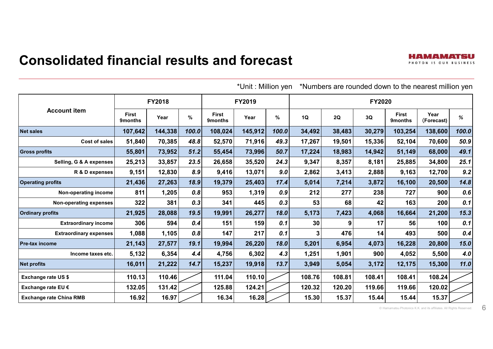#### **Consolidated financial results and forecast**

|                                |                         |         |       | *Unit: Million yen<br>*Numbers are rounded down to the nearest million yen |         |       |        |        |               |                                |                    |       |
|--------------------------------|-------------------------|---------|-------|----------------------------------------------------------------------------|---------|-------|--------|--------|---------------|--------------------------------|--------------------|-------|
|                                |                         | FY2018  |       |                                                                            | FY2019  |       |        |        | <b>FY2020</b> |                                |                    |       |
| <b>Account item</b>            | <b>First</b><br>9months | Year    | $\%$  | <b>First</b><br><b>9months</b>                                             | Year    | %     | 1Q     | 2Q     | 3Q            | <b>First</b><br><b>9months</b> | Year<br>(Forecast) | ℅     |
| <b>Net sales</b>               | 107,642                 | 144,338 | 100.0 | 108,024                                                                    | 145,912 | 100.0 | 34,492 | 38,483 | 30,279        | 103,254                        | 138,600            | 100.0 |
| <b>Cost of sales</b>           | 51,840                  | 70,385  | 48.8  | 52,570                                                                     | 71,916  | 49.3  | 17,267 | 19,501 | 15,336        | 52,104                         | 70,600             | 50.9  |
| <b>Gross profits</b>           | 55,801                  | 73,952  | 51.2  | 55,454                                                                     | 73,996  | 50.7  | 17,224 | 18,983 | 14,942        | 51,149                         | 68,000             | 49.1  |
| Selling, G & A expenses        | 25,213                  | 33,857  | 23.5  | 26,658                                                                     | 35,520  | 24.3  | 9,347  | 8,357  | 8,181         | 25,885                         | 34,800             | 25.1  |
| R & D expenses                 | 9,151                   | 12,830  | 8.9   | 9,416                                                                      | 13,071  | 9.0   | 2,862  | 3,413  | 2,888         | 9,163                          | 12,700             | 9.2   |
| <b>Operating profits</b>       | 21,436                  | 27,263  | 18.9  | 19,379                                                                     | 25,403  | 17.4  | 5,014  | 7,214  | 3,872         | 16,100                         | 20,500             | 14.8  |
| Non-operating income           | 811                     | 1,205   | 0.8   | 953                                                                        | 1,319   | 0.9   | 212    | 277    | 238           | 727                            | 900                | 0.6   |
| Non-operating expenses         | 322                     | 381     | 0.3   | 341                                                                        | 445     | 0.3   | 53     | 68     | 42            | 163                            | 200                | 0.1   |
| <b>Ordinary profits</b>        | 21,925                  | 28,088  | 19.5  | 19,991                                                                     | 26,277  | 18.0  | 5,173  | 7,423  | 4,068         | 16,664                         | 21,200             | 15.3  |
| <b>Extraordinary income</b>    | 306                     | 594     | 0.4   | 151                                                                        | 159     | 0.1   | 30     | 9      | 17            | 56                             | 100                | 0.1   |
| <b>Extraordinary expenses</b>  | 1,088                   | 1,105   | 0.8   | 147                                                                        | 217     | 0.1   | 3      | 476    | 14            | 493                            | 500                | 0.4   |
| <b>Pre-tax income</b>          | 21,143                  | 27,577  | 19.1  | 19,994                                                                     | 26,220  | 18.0  | 5,201  | 6,954  | 4,073         | 16,228                         | 20,800             | 15.0  |
| Income taxes etc.              | 5,132                   | 6,354   | 4.4   | 4,756                                                                      | 6,302   | 4.3   | 1,251  | 1,901  | 900           | 4,052                          | 5,500              | 4.0   |
| <b>Net profits</b>             | 16,011                  | 21,222  | 14.7  | 15,237                                                                     | 19,918  | 13.7  | 3,949  | 5,054  | 3,172         | 12,175                         | 15,300             | 11.0  |
| <b>Exchange rate US \$</b>     | 110.13                  | 110.46  |       | 111.04                                                                     | 110.10  |       | 108.76 | 108.81 | 108.41        | 108.41                         | 108.24             |       |
| Exchange rate EU €             | 132.05                  | 131.42  |       | 125.88                                                                     | 124.21  |       | 120.32 | 120.20 | 119.66        | 119.66                         | 120.02             |       |
| <b>Exchange rate China RMB</b> | 16.92                   | 16.97   |       | 16.34                                                                      | 16.28   |       | 15.30  | 15.37  | 15.44         | 15.44                          | 15.37              |       |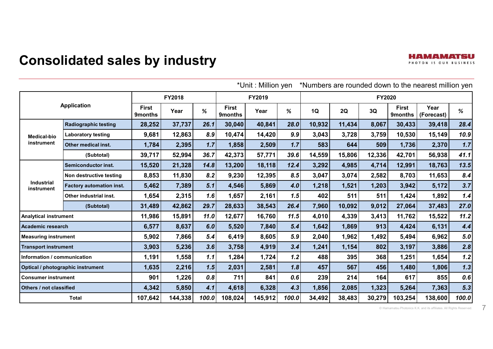|                                   |                           |         | ≅Unit : Million yen<br>Numbers are rounded down to the hearest million yer' |       |                                |         |       |        |        |        |                         |                    |       |
|-----------------------------------|---------------------------|---------|-----------------------------------------------------------------------------|-------|--------------------------------|---------|-------|--------|--------|--------|-------------------------|--------------------|-------|
|                                   |                           |         | FY2018                                                                      |       |                                | FY2019  |       |        |        | FY2020 |                         |                    |       |
|                                   | <b>Application</b>        |         | Year                                                                        | %     | <b>First</b><br><b>9months</b> | Year    | %     | 1Q     | 2Q     | 3Q     | <b>First</b><br>9months | Year<br>(Forecast) | %     |
| <b>Radiographic testing</b>       |                           | 28,252  | 37,737                                                                      | 26.1  | 30,040                         | 40,841  | 28.0  | 10,932 | 11,434 | 8,067  | 30,433                  | 39,418             | 28.4  |
| <b>Medical-bio</b>                | <b>Laboratory testing</b> | 9,681   | 12,863                                                                      | 8.9   | 10,474                         | 14,420  | 9.9   | 3,043  | 3,728  | 3,759  | 10,530                  | 15,149             | 10.9  |
| instrument                        | Other medical inst.       | 1,784   | 2,395                                                                       | 1.7   | 1,858                          | 2,509   | 1.7   | 583    | 644    | 509    | 1,736                   | 2,370              | 1.7   |
|                                   | (Subtotal)                | 39,717  | 52,994                                                                      | 36.7  | 42,373                         | 57,771  | 39.6  | 14,559 | 15,806 | 12,336 | 42,701                  | 56,938             | 41.1  |
|                                   | Semiconductor inst.       | 15,520  | 21,328                                                                      | 14.8  | 13,200                         | 18,118  | 12.4  | 3,292  | 4,985  | 4,714  | 12,991                  | 18,763             | 13.5  |
|                                   | Non destructive testing   | 8,853   | 11,830                                                                      | 8.2   | 9,230                          | 12,395  | 8.5   | 3,047  | 3,074  | 2,582  | 8,703                   | 11,653             | 8.4   |
| <b>Industrial</b><br>instrument   | Factory automation inst.  | 5,462   | 7,389                                                                       | 5.1   | 4,546                          | 5,869   | 4.0   | 1,218  | 1,521  | 1,203  | 3,942                   | 5,172              | 3.7   |
|                                   | Other industrial inst.    | 1,654   | 2,315                                                                       | 1.6   | 1,657                          | 2,161   | 1.5   | 402    | 511    | 511    | 1,424                   | 1,892              | 1.4   |
|                                   | (Subtotal)                | 31,489  | 42,862                                                                      | 29.7  | 28,633                         | 38,543  | 26.4  | 7,960  | 10,092 | 9,012  | 27,064                  | 37,483             | 27.0  |
| <b>Analytical instrument</b>      |                           | 11,986  | 15,891                                                                      | 11.0  | 12,677                         | 16,760  | 11.5  | 4,010  | 4,339  | 3,413  | 11,762                  | 15,522             | 11.2  |
| <b>Academic research</b>          |                           | 6,577   | 8,637                                                                       | 6.0   | 5,520                          | 7,840   | 5.4   | 1,642  | 1,869  | 913    | 4,424                   | 6,131              | 4.4   |
| <b>Measuring instrument</b>       |                           | 5,902   | 7,866                                                                       | 5.4   | 6,419                          | 8,605   | 5.9   | 2,040  | 1,962  | 1,492  | 5,494                   | 6,962              | 5.0   |
| <b>Transport instrument</b>       |                           | 3,903   | 5,236                                                                       | 3.6   | 3,758                          | 4,919   | 3.4   | 1,241  | 1,154  | 802    | 3,197                   | 3,886              | 2.8   |
| Information / communication       |                           | 1,191   | 1,558                                                                       | 1.1   | 1,284                          | 1,724   | 1.2   | 488    | 395    | 368    | 1,251                   | 1,654              | 1.2   |
| Optical / photographic instrument |                           | 1,635   | 2,216                                                                       | 1.5   | 2,031                          | 2,581   | 1.8   | 457    | 567    | 456    | 1,480                   | 1,806              | 1.3   |
| <b>Consumer instrument</b>        |                           | 901     | 1,226                                                                       | 0.8   | 711                            | 841     | 0.6   | 239    | 214    | 164    | 617                     | 855                | 0.6   |
| Others / not classified           |                           | 4,342   | 5,850                                                                       | 4.1   | 4,618                          | 6,328   | 4.3   | 1,856  | 2,085  | 1,323  | 5,264                   | 7,363              | 5.3   |
| <b>Total</b>                      |                           | 107,642 | 144,338                                                                     | 100.0 | 108,024                        | 145,912 | 100.0 | 34,492 | 38,483 | 30,279 | 103,254                 | 138,600            | 100.0 |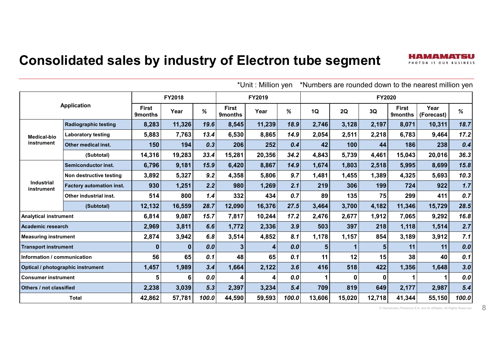#### **Consolidated sales by industry of Electron tube segment**



\*Unit : Million yen \*Numbers are rounded down to the nearest million yen

H A MA A MA'T SI PHOTON IS OUR BUSINESS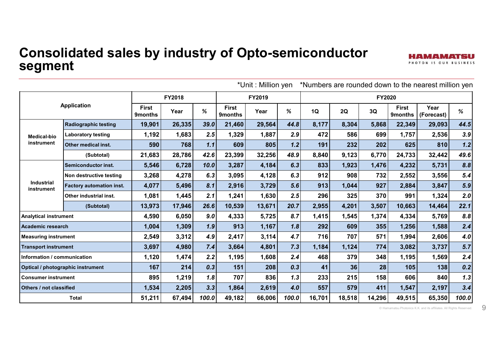#### **Consolidated sales by industry of Opto-semiconductor segment**

|                              |                                   |                         |        |       |                                | *Unit: Million yen |       |        |        |               |                         | *Numbers are rounded down to the nearest million yen |       |
|------------------------------|-----------------------------------|-------------------------|--------|-------|--------------------------------|--------------------|-------|--------|--------|---------------|-------------------------|------------------------------------------------------|-------|
|                              |                                   |                         | FY2018 |       |                                | FY2019             |       |        |        | <b>FY2020</b> |                         |                                                      |       |
|                              | <b>Application</b>                | <b>First</b><br>9months | Year   | %     | <b>First</b><br><b>9months</b> | Year               | %     | 1Q     | 2Q     | 3Q            | <b>First</b><br>9months | Year<br>(Forecast)                                   | %     |
|                              | <b>Radiographic testing</b>       | 19,901                  | 26,335 | 39.0  | 21,460                         | 29,564             | 44.8  | 8,177  | 8,304  | 5,868         | 22,349                  | 29,093                                               | 44.5  |
| <b>Medical-bio</b>           | <b>Laboratory testing</b>         | 1,192                   | 1,683  | 2.5   | 1,329                          | 1,887              | 2.9   | 472    | 586    | 699           | 1,757                   | 2,536                                                | 3.9   |
| instrument                   | Other medical inst.               | 590                     | 768    | 1.1   | 609                            | 805                | 1.2   | 191    | 232    | 202           | 625                     | 810                                                  | 1.2   |
|                              | (Subtotal)                        | 21,683                  | 28,786 | 42.6  | 23,399                         | 32,256             | 48.9  | 8,840  | 9,123  | 6,770         | 24,733                  | 32,442                                               | 49.6  |
|                              | <b>Semiconductor inst.</b>        | 5,546                   | 6,728  | 10.0  | 3,287                          | 4,184              | 6.3   | 833    | 1,923  | 1,476         | 4,232                   | 5,731                                                | 8.8   |
|                              | Non destructive testing           | 3,268                   | 4,278  | 6.3   | 3,095                          | 4,128              | 6.3   | 912    | 908    | 732           | 2,552                   | 3,556                                                | 5.4   |
| Industrial<br>instrument     | Factory automation inst.          | 4,077                   | 5,496  | 8.1   | 2,916                          | 3,729              | 5.6   | 913    | 1,044  | 927           | 2,884                   | 3,847                                                | 5.9   |
|                              | Other industrial inst.            | 1,081                   | 1,445  | 2.1   | 1,241                          | 1,630              | 2.5   | 296    | 325    | 370           | 991                     | 1,324                                                | 2.0   |
|                              | (Subtotal)                        | 13,973                  | 17,946 | 26.6  | 10,539                         | 13,671             | 20.7  | 2,955  | 4,201  | 3,507         | 10,663                  | 14,464                                               | 22.1  |
| <b>Analytical instrument</b> |                                   | 4,590                   | 6,050  | 9.0   | 4,333                          | 5,725              | 8.7   | 1,415  | 1,545  | 1,374         | 4,334                   | 5,769                                                | 8.8   |
| Academic research            |                                   | 1,004                   | 1,309  | 1.9   | 913                            | 1,167              | 1.8   | 292    | 609    | 355           | 1,256                   | 1,588                                                | 2.4   |
| <b>Measuring instrument</b>  |                                   | 2,549                   | 3,312  | 4.9   | 2,417                          | 3,114              | 4.7   | 716    | 707    | 571           | 1,994                   | 2,606                                                | 4.0   |
| <b>Transport instrument</b>  |                                   | 3,697                   | 4,980  | 7.4   | 3,664                          | 4,801              | 7.3   | 1,184  | 1,124  | 774           | 3,082                   | 3,737                                                | 5.7   |
| Information / communication  |                                   | 1,120                   | 1,474  | 2.2   | 1,195                          | 1,608              | 2.4   | 468    | 379    | 348           | 1,195                   | 1,569                                                | 2.4   |
|                              | Optical / photographic instrument | 167                     | 214    | 0.3   | 151                            | 208                | 0.3   | 41     | 36     | 28            | 105                     | 138                                                  | 0.2   |
| <b>Consumer instrument</b>   |                                   | 895                     | 1,219  | 1.8   | 707                            | 836                | 1.3   | 233    | 215    | 158           | 606                     | 840                                                  | 1.3   |
|                              | Others / not classified           |                         | 2,205  | 3.3   | 1,864                          | 2,619              | 4.0   | 557    | 579    | 411           | 1,547                   | 2,197                                                | 3.4   |
|                              | <b>Total</b>                      | 51,211                  | 67,494 | 100.0 | 49,182                         | 66,006             | 100.0 | 16,701 | 18,518 | 14,296        | 49,515                  | 65,350                                               | 100.0 |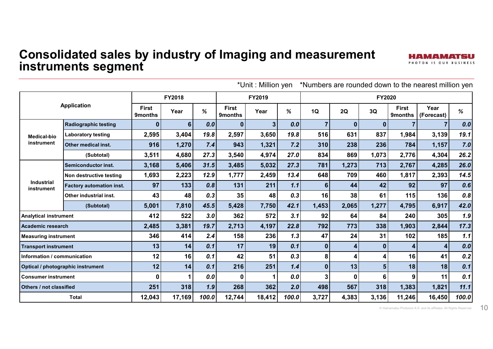#### **Consolidated sales by industry of Imaging and measurement instruments segment**

|                                              |                             |                         |               |       |                                | *Unit: Million yen |       |              |          |                |                                | *Numbers are rounded down to the nearest million yen |       |
|----------------------------------------------|-----------------------------|-------------------------|---------------|-------|--------------------------------|--------------------|-------|--------------|----------|----------------|--------------------------------|------------------------------------------------------|-------|
|                                              |                             |                         | <b>FY2018</b> |       |                                | FY2019             |       |              |          | <b>FY2020</b>  |                                |                                                      |       |
| <b>Application</b>                           |                             | <b>First</b><br>9months | Year          | %     | <b>First</b><br><b>9months</b> | Year               | %     | 1Q           | 2Q       | 3Q             | <b>First</b><br><b>9months</b> | Year<br>(Forecast)                                   | %     |
|                                              | <b>Radiographic testing</b> | 0                       | 6             | 0.0   | $\bf{0}$                       | 3                  | 0.0   | 7            | $\bf{0}$ | $\bf{0}$       |                                |                                                      | 0.0   |
| <b>Medical-bio</b>                           | <b>Laboratory testing</b>   | 2,595                   | 3,404         | 19.8  | 2,597                          | 3,650              | 19.8  | 516          | 631      | 837            | 1,984                          | 3,139                                                | 19.1  |
| instrument                                   | Other medical inst.         | 916                     | 1,270         | 7.4   | 943                            | 1,321              | 7.2   | 310          | 238      | 236            | 784                            | 1,157                                                | 7.0   |
|                                              | (Subtotal)                  | 3,511                   | 4,680         | 27.3  | 3,540                          | 4,974              | 27.0  | 834          | 869      | 1,073          | 2,776                          | 4,304                                                | 26.2  |
|                                              | Semiconductor inst.         | 3,168                   | 5,406         | 31.5  | 3,485                          | 5,032              | 27.3  | 781          | 1,273    | 713            | 2,767                          | 4,285                                                | 26.0  |
|                                              | Non destructive testing     | 1,693                   | 2,223         | 12.9  | 1,777                          | 2,459              | 13.4  | 648          | 709      | 460            | 1,817                          | 2,393                                                | 14.5  |
| <b>Industrial</b><br>instrument              | Factory automation inst.    | 97                      | 133           | 0.8   | 131                            | 211                | 1.1   | 6            | 44       | 42             | 92                             | 97                                                   | 0.6   |
|                                              | Other industrial inst.      | 43                      | 48            | 0.3   | 35                             | 48                 | 0.3   | 16           | 38       | 61             | 115                            | 136                                                  | 0.8   |
|                                              | (Subtotal)                  | 5,001                   | 7,810         | 45.5  | 5,428                          | 7,750              | 42.1  | 1,453        | 2,065    | 1,277          | 4,795                          | 6,917                                                | 42.0  |
| <b>Analytical instrument</b>                 |                             | 412                     | 522           | 3.0   | 362                            | 572                | 3.1   | 92           | 64       | 84             | 240                            | 305                                                  | 1.9   |
| <b>Academic research</b>                     |                             | 2,485                   | 3,381         | 19.7  | 2,713                          | 4,197              | 22.8  | 792          | 773      | 338            | 1,903                          | 2,844                                                | 17.3  |
| <b>Measuring instrument</b>                  |                             | 346                     | 414           | 2.4   | 158                            | 236                | 1.3   | 47           | 24       | 31             | 102                            | 185                                                  | 1.1   |
| <b>Transport instrument</b>                  |                             | 13                      | 14            | 0.1   | 17                             | 19                 | 0.1   | $\mathbf 0$  |          | $\bf{0}$       | Δ                              | 4                                                    | 0.0   |
| Information / communication                  |                             | 12                      | 16            | 0.1   | 42                             | 51                 | 0.3   | 8            |          | 4              | 16                             | 41                                                   | 0.2   |
| Optical / photographic instrument            |                             | 12                      | 14            | 0.1   | 216                            | 251                | 1.4   | $\mathbf{0}$ | 13       | 5 <sup>5</sup> | 18                             | 18                                                   | 0.1   |
| Ω<br><b>Consumer instrument</b>              |                             |                         | 0.0           | 0     |                                | 0.0                | 3     |              | 6        | 9              | 11                             | 0.1                                                  |       |
| 318<br>251<br>1.9<br>Others / not classified |                             |                         |               | 268   | 362                            | 2.0                | 498   | 567          | 318      | 1,383          | 1,821                          | 11.1                                                 |       |
|                                              | <b>Total</b>                | 12,043                  | 17,169        | 100.0 | 12,744                         | 18,412             | 100.0 | 3,727        | 4,383    | 3,136          | 11,246                         | 16,450                                               | 100.0 |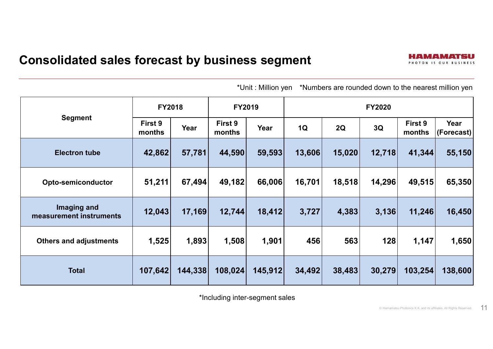|                                        | <b>FY2018</b>     |         | <b>FY2019</b>     |         |        |        | <b>FY2020</b> |                   |                    |  |  |  |
|----------------------------------------|-------------------|---------|-------------------|---------|--------|--------|---------------|-------------------|--------------------|--|--|--|
| <b>Segment</b>                         | First 9<br>months | Year    | First 9<br>months | Year    | 1Q     | 2Q     | 3Q            | First 9<br>months | Year<br>(Forecast) |  |  |  |
| <b>Electron tube</b>                   | 42,862            | 57,781  | 44,590            | 59,593  | 13,606 | 15,020 | 12,718        | 41,344            | 55,150             |  |  |  |
| <b>Opto-semiconductor</b>              | 51,211            | 67,494  | 49,182            | 66,006  | 16,701 | 18,518 | 14,296        | 49,515            | 65,350             |  |  |  |
| Imaging and<br>measurement instruments | 12,043            | 17,169  | 12,744            | 18,412  | 3,727  | 4,383  | 3,136         | 11,246            | 16,450             |  |  |  |
| <b>Others and adjustments</b>          | 1,525             | 1,893   | 1,508             | 1,901   | 456    | 563    | 128           | 1,147             | 1,650              |  |  |  |
| <b>Total</b>                           | 107,642           | 144,338 | 108,024           | 145,912 | 34,492 | 38,483 | 30,279        | 103,254           | 138,600            |  |  |  |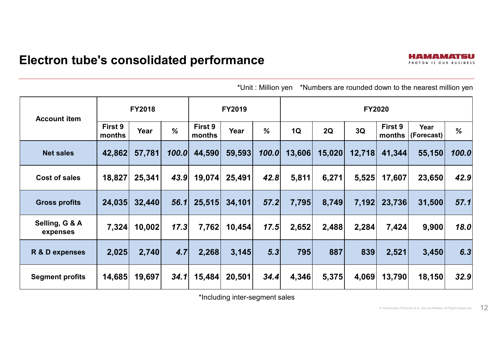| <b>Account item</b>        |                   | <b>FY2018</b> |               |                   | <b>FY2019</b> |       | <b>FY2020</b> |        |        |                   |                    |       |
|----------------------------|-------------------|---------------|---------------|-------------------|---------------|-------|---------------|--------|--------|-------------------|--------------------|-------|
|                            | First 9<br>months | Year          | $\frac{0}{6}$ | First 9<br>months | Year          | %     | 1Q            | 2Q     | 3Q     | First 9<br>months | Year<br>(Forecast) | %     |
| <b>Net sales</b>           | 42,862            | 57,781        | 100.0         | 44,590            | 59,593        | 100.0 | 13,606        | 15,020 | 12,718 | 41,344            | 55,150             | 100.0 |
| Cost of sales              | 18,827            | 25,341        | 43.9          | 19,074            | 25,491        | 42.8  | 5,811         | 6,271  | 5,525  | 17,607            | 23,650             | 42.9  |
| <b>Gross profits</b>       | 24,035            | 32,440        | 56.1          | 25,515            | 34,101        | 57.2  | 7,795         | 8,749  | 7,192  | 23,736            | 31,500             | 57.1  |
| Selling, G & A<br>expenses | 7,324             | 10,002        | 17.3          | 7,762             | 10,454        | 17.5  | 2,652         | 2,488  | 2,284  | 7,424             | 9,900              | 18.0  |
| R & D expenses             | 2,025             | 2,740         | 4.7           | 2,268             | 3,145         | 5.3   | 795           | 887    | 839    | 2,521             | 3,450              | 6.3   |
| <b>Segment profits</b>     | 14,685            | 19,697        | 34.1          | 15,484            | 20,501        | 34.4  | 4,346         | 5,375  | 4,069  | 13,790            | 18,150             | 32.9  |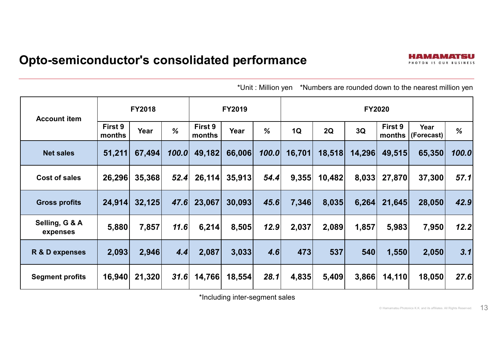#### **Opto-semiconductor's consolidated performance**

\*Unit : Million yen \*Numbers are rounded down to the nearest million yen

| <b>Account item</b>        |                   | <b>FY2018</b> |               |                   | <b>FY2019</b> |       | <b>FY2020</b> |        |        |                   |                    |       |
|----------------------------|-------------------|---------------|---------------|-------------------|---------------|-------|---------------|--------|--------|-------------------|--------------------|-------|
|                            | First 9<br>months | Year          | $\frac{1}{2}$ | First 9<br>months | Year          | %     | 1Q            | 2Q     | 3Q     | First 9<br>months | Year<br>(Forecast) | %     |
| <b>Net sales</b>           | 51,211            | 67,494        | 100.0         | 49,182            | 66,006        | 100.0 | 16,701        | 18,518 | 14,296 | 49,515            | 65,350             | 100.0 |
| Cost of sales              | 26,296            | 35,368        | 52.4          | 26,114            | 35,913        | 54.4  | 9,355         | 10,482 | 8,033  | 27,870            | 37,300             | 57.1  |
| <b>Gross profits</b>       | 24,914            | 32,125        | 47.6          | 23,067            | 30,093        | 45.6  | 7,346         | 8,035  | 6,264  | 21,645            | 28,050             | 42.9  |
| Selling, G & A<br>expenses | 5,880             | 7,857         | 11.6          | 6,214             | 8,505         | 12.9  | 2,037         | 2,089  | 1,857  | 5,983             | 7,950              | 12.2  |
| R & D expenses             | 2,093             | 2,946         | 4.4           | 2,087             | 3,033         | 4.6   | 473           | 537    | 540    | 1,550             | 2,050              | 3.1   |
| <b>Segment profits</b>     | 16,940            | 21,320        | 31.6          | 14,766            | 18,554        | 28.1  | 4,835         | 5,409  | 3,866  | 14,110            | 18,050             | 27.6  |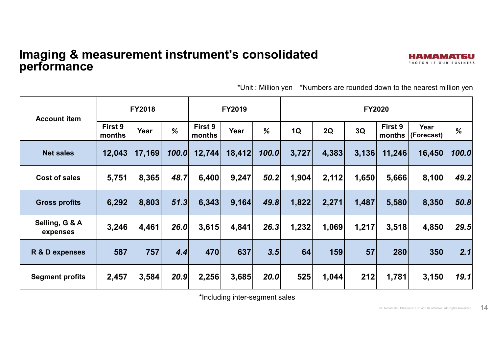| <b>Account item</b>        |                   | <b>FY2018</b> |       |                   | <b>FY2019</b> |               | <b>FY2020</b> |       |       |                   |                    |       |
|----------------------------|-------------------|---------------|-------|-------------------|---------------|---------------|---------------|-------|-------|-------------------|--------------------|-------|
|                            | First 9<br>months | Year          | %     | First 9<br>months | Year          | $\frac{1}{2}$ | 1Q            | 2Q    | 3Q    | First 9<br>months | Year<br>(Forecast) | %     |
| <b>Net sales</b>           | 12,043            | 17,169        | 100.0 | 12,744            | 18,412        | 100.0         | 3,727         | 4,383 | 3,136 | 11,246            | 16,450             | 100.0 |
| <b>Cost of sales</b>       | 5,751             | 8,365         | 48.7  | 6,400             | 9,247         | 50.2          | 1,904         | 2,112 | 1,650 | 5,666             | 8,100              | 49.2  |
| <b>Gross profits</b>       | 6,292             | 8,803         | 51.3  | 6,343             | 9,164         | 49.8          | 1,822         | 2,271 | 1,487 | 5,580             | 8,350              | 50.8  |
| Selling, G & A<br>expenses | 3,246             | 4,461         | 26.0  | 3,615             | 4,841         | 26.3          | 1,232         | 1,069 | 1,217 | 3,518             | 4,850              | 29.5  |
| R & D expenses             | 587               | 757           | 4.4   | 470               | 637           | 3.5           | 64            | 159   | 57    | 280               | 350                | 2.1   |
| <b>Segment profits</b>     | 2,457             | 3,584         | 20.9  | 2,256             | 3,685         | 20.0          | 525           | 1,044 | 212   | 1,781             | 3,150              | 19.1  |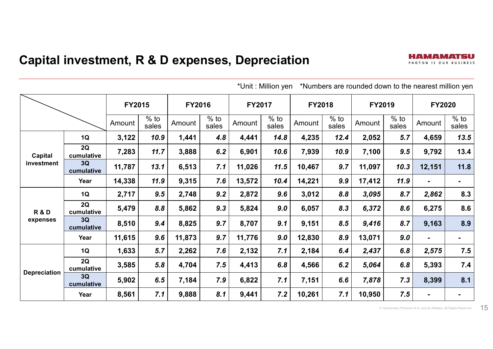|                     |                  | <b>FY2015</b> |                 | <b>FY2016</b> |                 | <b>FY2017</b> |                 | <b>FY2018</b> |                 | FY2019 |                 | <b>FY2020</b>  |                 |
|---------------------|------------------|---------------|-----------------|---------------|-----------------|---------------|-----------------|---------------|-----------------|--------|-----------------|----------------|-----------------|
|                     |                  | Amount        | $%$ to<br>sales | Amount        | $%$ to<br>sales | Amount        | $%$ to<br>sales | Amount        | $%$ to<br>sales | Amount | $%$ to<br>sales | Amount         | $%$ to<br>sales |
|                     | 1Q               | 3,122         | 10.9            | 1,441         | 4.8             | 4,441         | 14.8            | 4,235         | 12.4            | 2,052  | 5.7             | 4,659          | 13.5            |
| Capital             | 2Q<br>cumulative | 7,283         | 11.7            | 3,888         | 6.2             | 6,901         | 10.6            | 7,939         | 10.9            | 7,100  | 9.5             | 9,792          | 13.4            |
| investment          | 3Q<br>cumulative | 11,787        | 13.1            | 6,513         | 7.1             | 11,026        | 11.5            | 10,467        | 9.7             | 11,097 | 10.3            | 12,151         | 11.8            |
|                     | Year             | 14,338        | 11.9            | 9,315         | 7.6             | 13,572        | 10.4            | 14,221        | 9.9             | 17,412 | 11.9            |                | $\blacksquare$  |
|                     | 1Q               | 2,717         | 9.5             | 2,748         | 9.2             | 2,872         | 9.6             | 3,012         | 8.8             | 3,095  | 8.7             | 2,862          | 8.3             |
| <b>R&amp;D</b>      | 2Q<br>cumulative | 5,479         | 8.8             | 5,862         | 9.3             | 5,824         | 9.0             | 6,057         | 8.3             | 6,372  | 8.6             | 6,275          | 8.6             |
| expenses            | 3Q<br>cumulative | 8,510         | 9.4             | 8,825         | 9.7             | 8,707         | 9.1             | 9,151         | 8.5             | 9,416  | 8.7             | 9,163          | 8.9             |
|                     | Year             | 11,615        | 9.6             | 11,873        | 9.7             | 11,776        | 9.0             | 12,830        | 8.9             | 13,071 | 9.0             | $\blacksquare$ |                 |
|                     | 1Q               | 1,633         | 5.7             | 2,262         | 7.6             | 2,132         | 7.1             | 2,184         | 6.4             | 2,437  | 6.8             | 2,575          | 7.5             |
| <b>Depreciation</b> | 2Q<br>cumulative | 3,585         | 5.8             | 4,704         | 7.5             | 4,413         | 6.8             | 4,566         | 6.2             | 5,064  | 6.8             | 5,393          | 7.4             |
|                     | 3Q<br>cumulative | 5,902         | 6.5             | 7,184         | 7.9             | 6,822         | 7.1             | 7,151         | 6.6             | 7,878  | 7.3             | 8,399          | 8.1             |
|                     | Year             | 8,561         | 7.1             | 9,888         | 8.1             | 9,441         | 7.2             | 10,261        | 7.1             | 10,950 | 7.5             | $\blacksquare$ |                 |